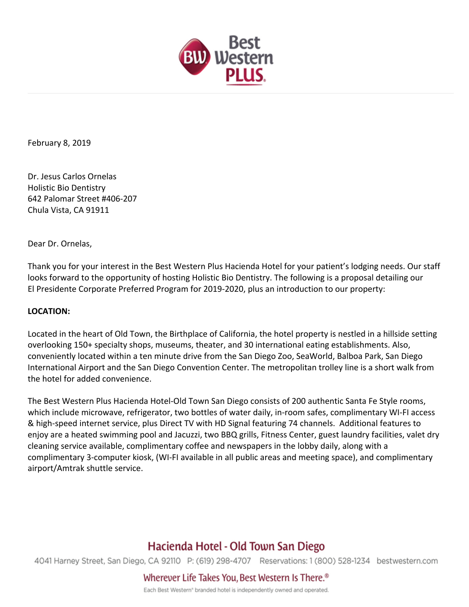

February 8, 2019

Dr. Jesus Carlos Ornelas Holistic Bio Dentistry 642 Palomar Street #406-207 Chula Vista, CA 91911

Dear Dr. Ornelas,

Thank you for your interest in the Best Western Plus Hacienda Hotel for your patient's lodging needs. Our staff looks forward to the opportunity of hosting Holistic Bio Dentistry. The following is a proposal detailing our El Presidente Corporate Preferred Program for 2019-2020, plus an introduction to our property:

### **LOCATION:**

Located in the heart of Old Town, the Birthplace of California, the hotel property is nestled in a hillside setting overlooking 150+ specialty shops, museums, theater, and 30 international eating establishments. Also, conveniently located within a ten minute drive from the San Diego Zoo, SeaWorld, Balboa Park, San Diego International Airport and the San Diego Convention Center. The metropolitan trolley line is a short walk from the hotel for added convenience.

The Best Western Plus Hacienda Hotel-Old Town San Diego consists of 200 authentic Santa Fe Style rooms, which include microwave, refrigerator, two bottles of water daily, in-room safes, complimentary WI-FI access & high-speed internet service, plus Direct TV with HD Signal featuring 74 channels. Additional features to enjoy are a heated swimming pool and Jacuzzi, two BBQ grills, Fitness Center, guest laundry facilities, valet dry cleaning service available, complimentary coffee and newspapers in the lobby daily, along with a complimentary 3-computer kiosk, (WI-FI available in all public areas and meeting space), and complimentary airport/Amtrak shuttle service.

# Hacienda Hotel - Old Town San Diego

4041 Harney Street, San Diego, CA 92110 P: (619) 298-4707 Reservations: 1 (800) 528-1234 bestwestern.com

Wherever Life Takes You, Best Western Is There.<sup>®</sup>

Each Best Western<sup>®</sup> branded hotel is independently owned and operated.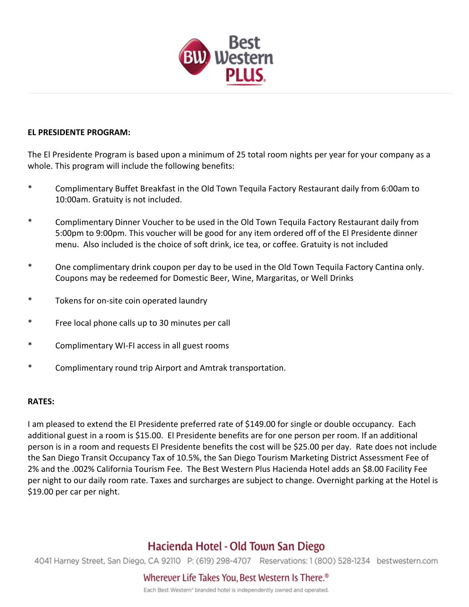

### **FL PRESIDENTE PROGRAM:**

The El Presidente Program is based upon a minimum of 25 total room nights per year for your company as a whole. This program will include the following benefits:

- \* Complimentary Buffet Breakfast in the Old Town Tequila Factory Restaurant daily from 6:00am to 10:00am. Gratuity is not included.
- \* Complimentary Dinner Voucher to be used in the Old Town Tequila Factory Restaurant daily from 5:00pm to 9:00pm. This voucher will be good for any item ordered off of the El Presidente dinner menu. Also included is the choice of soft drink, ice tea, or coffee. Gratuity is not included
- \* One complimentary drink coupon per day to be used in the Old Town Tequila Factory Cantina only. Coupons may be redeemed for Domestic Beer, Wine, Margaritas, or Well Drinks
- \* Tokens for on-site coin operated laundry
- \* Free local phone calls up to 30 minutes per call
- Complimentary WI-FI access in all guest rooms
- \* Complimentary round trip Airport and Amtrak transportation.

### **RATES:**

I am pleased to extend the El Presidente preferred rate of \$149.00 for single or double occupancy. Each additional guest in a room is \$15.00. El Presidente benefits are for one person per room. If an additional person is in a room and requests El Presidente benefits the cost will be \$25.00 per day. Rate does not include the San Diego Transit Occupancy Tax of 10.5%, the San Diego Tourism Marketing District Assessment Fee of 2% and the .002% California Tourism Fee. The Best Western Plus Hacienda Hotel adds an \$8.00 Facility Fee per night to our daily room rate. Taxes and surcharges are subject to change. Overnight parking at the Hotel is \$19.00 per car per night.

# Hacienda Hotel - Old Town San Diego

4041 Harney Street, San Diego, CA 92110 P: (619) 298-4707 Reservations: 1 (800) 528-1234 bestwestern.com

Wherever Life Takes You, Best Western Is There.<sup>®</sup>

Each Best Western<sup>®</sup> branded hotel is independently owned and operated.